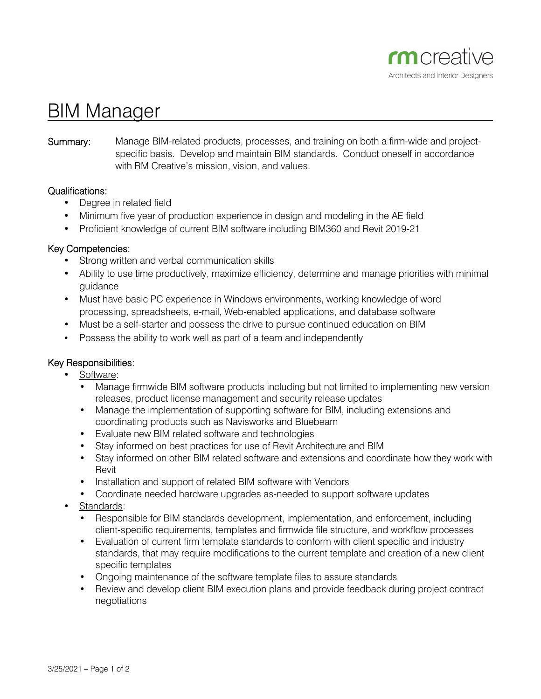

# BIM Manager

## **Summary:** Manage BIM-related products, processes, and training on both a firm-wide and projectspecific basis. Develop and maintain BIM standards. Conduct oneself in accordance with RM Creative's mission, vision, and values.

#### Qualifications:

- Degree in related field
- Minimum five year of production experience in design and modeling in the AE field
- Proficient knowledge of current BIM software including BIM360 and Revit 2019-21

## Key Competencies:

- Strong written and verbal communication skills
- Ability to use time productively, maximize efficiency, determine and manage priorities with minimal guidance
- Must have basic PC experience in Windows environments, working knowledge of word processing, spreadsheets, e-mail, Web-enabled applications, and database software
- Must be a self-starter and possess the drive to pursue continued education on BIM
- Possess the ability to work well as part of a team and independently

# Key Responsibilities:

- Software:
	- Manage firmwide BIM software products including but not limited to implementing new version releases, product license management and security release updates
	- Manage the implementation of supporting software for BIM, including extensions and coordinating products such as Navisworks and Bluebeam
	- Evaluate new BIM related software and technologies
	- Stay informed on best practices for use of Revit Architecture and BIM
	- Stay informed on other BIM related software and extensions and coordinate how they work with Revit
	- Installation and support of related BIM software with Vendors
	- Coordinate needed hardware upgrades as-needed to support software updates
- Standards:
	- Responsible for BIM standards development, implementation, and enforcement, including client-specific requirements, templates and firmwide file structure, and workflow processes
	- Evaluation of current firm template standards to conform with client specific and industry standards, that may require modifications to the current template and creation of a new client specific templates
	- Ongoing maintenance of the software template files to assure standards
	- Review and develop client BIM execution plans and provide feedback during project contract negotiations